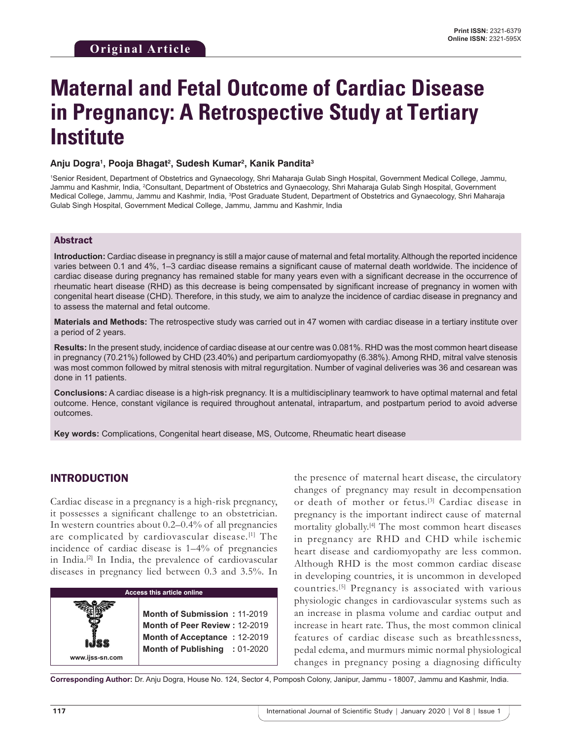# **Maternal and Fetal Outcome of Cardiac Disease in Pregnancy: A Retrospective Study at Tertiary Institute**

## Anju Dogra<sup>ı</sup>, Pooja Bhagat<sup>2</sup>, Sudesh Kumar<sup>2</sup>, Kanik Pandita<sup>3</sup>

1 Senior Resident, Department of Obstetrics and Gynaecology, Shri Maharaja Gulab Singh Hospital, Government Medical College, Jammu, Jammu and Kashmir, India, 2 Consultant, Department of Obstetrics and Gynaecology, Shri Maharaja Gulab Singh Hospital, Government Medical College, Jammu, Jammu and Kashmir, India, <sup>s</sup>Post Graduate Student, Department of Obstetrics and Gynaecology, Shri Maharaja Gulab Singh Hospital, Government Medical College, Jammu, Jammu and Kashmir, India

#### Abstract

**Introduction:** Cardiac disease in pregnancy is still a major cause of maternal and fetal mortality. Although the reported incidence varies between 0.1 and 4%, 1–3 cardiac disease remains a significant cause of maternal death worldwide. The incidence of cardiac disease during pregnancy has remained stable for many years even with a significant decrease in the occurrence of rheumatic heart disease (RHD) as this decrease is being compensated by significant increase of pregnancy in women with congenital heart disease (CHD). Therefore, in this study, we aim to analyze the incidence of cardiac disease in pregnancy and to assess the maternal and fetal outcome.

**Materials and Methods:** The retrospective study was carried out in 47 women with cardiac disease in a tertiary institute over a period of 2 years.

**Results:** In the present study, incidence of cardiac disease at our centre was 0.081%. RHD was the most common heart disease in pregnancy (70.21%) followed by CHD (23.40%) and peripartum cardiomyopathy (6.38%). Among RHD, mitral valve stenosis was most common followed by mitral stenosis with mitral regurgitation. Number of vaginal deliveries was 36 and cesarean was done in 11 patients.

**Conclusions:** A cardiac disease is a high-risk pregnancy. It is a multidisciplinary teamwork to have optimal maternal and fetal outcome. Hence, constant vigilance is required throughout antenatal, intrapartum, and postpartum period to avoid adverse outcomes.

**Key words:** Complications, Congenital heart disease, MS, Outcome, Rheumatic heart disease

# INTRODUCTION

Cardiac disease in a pregnancy is a high-risk pregnancy, it possesses a significant challenge to an obstetrician. In western countries about 0.2–0.4% of all pregnancies are complicated by cardiovascular disease.[1] The incidence of cardiac disease is 1–4% of pregnancies in India.[2] In India, the prevalence of cardiovascular diseases in pregnancy lied between 0.3 and 3.5%. In



the presence of maternal heart disease, the circulatory changes of pregnancy may result in decompensation or death of mother or fetus.[3] Cardiac disease in pregnancy is the important indirect cause of maternal mortality globally.[4] The most common heart diseases in pregnancy are RHD and CHD while ischemic heart disease and cardiomyopathy are less common. Although RHD is the most common cardiac disease in developing countries, it is uncommon in developed countries.[5] Pregnancy is associated with various physiologic changes in cardiovascular systems such as an increase in plasma volume and cardiac output and increase in heart rate. Thus, the most common clinical features of cardiac disease such as breathlessness, pedal edema, and murmurs mimic normal physiological changes in pregnancy posing a diagnosing difficulty

**Corresponding Author:** Dr. Anju Dogra, House No. 124, Sector 4, Pomposh Colony, Janipur, Jammu - 18007, Jammu and Kashmir, India.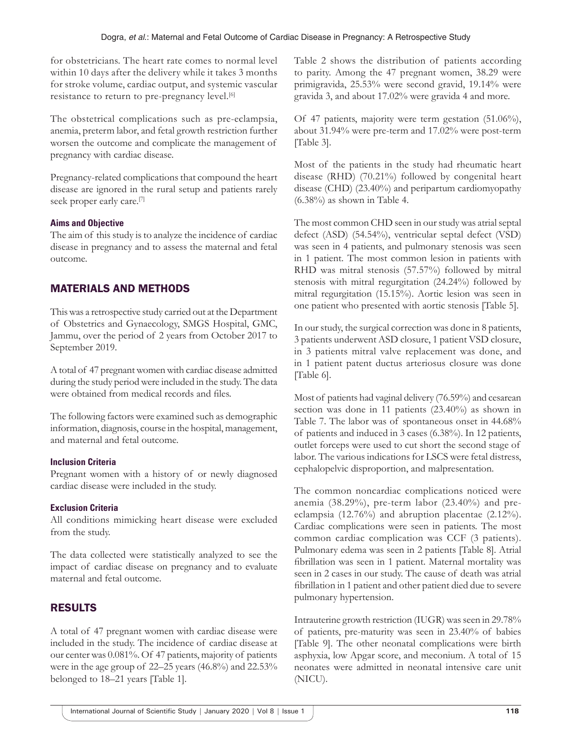for obstetricians. The heart rate comes to normal level within 10 days after the delivery while it takes 3 months for stroke volume, cardiac output, and systemic vascular resistance to return to pre-pregnancy level.[6]

The obstetrical complications such as pre-eclampsia, anemia, preterm labor, and fetal growth restriction further worsen the outcome and complicate the management of pregnancy with cardiac disease.

Pregnancy-related complications that compound the heart disease are ignored in the rural setup and patients rarely seek proper early care.[7]

## **Aims and Objective**

The aim of this study is to analyze the incidence of cardiac disease in pregnancy and to assess the maternal and fetal outcome.

# MATERIALS AND METHODS

This was a retrospective study carried out at the Department of Obstetrics and Gynaecology, SMGS Hospital, GMC, Jammu, over the period of 2 years from October 2017 to September 2019.

A total of 47 pregnant women with cardiac disease admitted during the study period were included in the study. The data were obtained from medical records and files.

The following factors were examined such as demographic information, diagnosis, course in the hospital, management, and maternal and fetal outcome.

# **Inclusion Criteria**

Pregnant women with a history of or newly diagnosed cardiac disease were included in the study.

# **Exclusion Criteria**

All conditions mimicking heart disease were excluded from the study.

The data collected were statistically analyzed to see the impact of cardiac disease on pregnancy and to evaluate maternal and fetal outcome.

# RESULTS

A total of 47 pregnant women with cardiac disease were included in the study. The incidence of cardiac disease at our center was 0.081%. Of 47 patients, majority of patients were in the age group of 22–25 years (46.8%) and 22.53% belonged to 18–21 years [Table 1].

Table 2 shows the distribution of patients according to parity. Among the 47 pregnant women, 38.29 were primigravida, 25.53% were second gravid, 19.14% were gravida 3, and about 17.02% were gravida 4 and more.

Of 47 patients, majority were term gestation (51.06%), about 31.94% were pre-term and 17.02% were post-term [Table 3].

Most of the patients in the study had rheumatic heart disease (RHD) (70.21%) followed by congenital heart disease (CHD) (23.40%) and peripartum cardiomyopathy (6.38%) as shown in Table 4.

The most common CHD seen in our study was atrial septal defect (ASD) (54.54%), ventricular septal defect (VSD) was seen in 4 patients, and pulmonary stenosis was seen in 1 patient. The most common lesion in patients with RHD was mitral stenosis (57.57%) followed by mitral stenosis with mitral regurgitation (24.24%) followed by mitral regurgitation (15.15%). Aortic lesion was seen in one patient who presented with aortic stenosis [Table 5].

In our study, the surgical correction was done in 8 patients, 3 patients underwent ASD closure, 1 patient VSD closure, in 3 patients mitral valve replacement was done, and in 1 patient patent ductus arteriosus closure was done [Table 6].

Most of patients had vaginal delivery (76.59%) and cesarean section was done in 11 patients (23.40%) as shown in Table 7. The labor was of spontaneous onset in 44.68% of patients and induced in 3 cases (6.38%). In 12 patients, outlet forceps were used to cut short the second stage of labor. The various indications for LSCS were fetal distress, cephalopelvic disproportion, and malpresentation.

The common noncardiac complications noticed were anemia (38.29%), pre-term labor (23.40%) and preeclampsia (12.76%) and abruption placentae (2.12%). Cardiac complications were seen in patients. The most common cardiac complication was CCF (3 patients). Pulmonary edema was seen in 2 patients [Table 8]. Atrial fibrillation was seen in 1 patient. Maternal mortality was seen in 2 cases in our study. The cause of death was atrial fibrillation in 1 patient and other patient died due to severe pulmonary hypertension.

Intrauterine growth restriction (IUGR) was seen in 29.78% of patients, pre-maturity was seen in 23.40% of babies [Table 9]. The other neonatal complications were birth asphyxia, low Apgar score, and meconium. A total of 15 neonates were admitted in neonatal intensive care unit (NICU).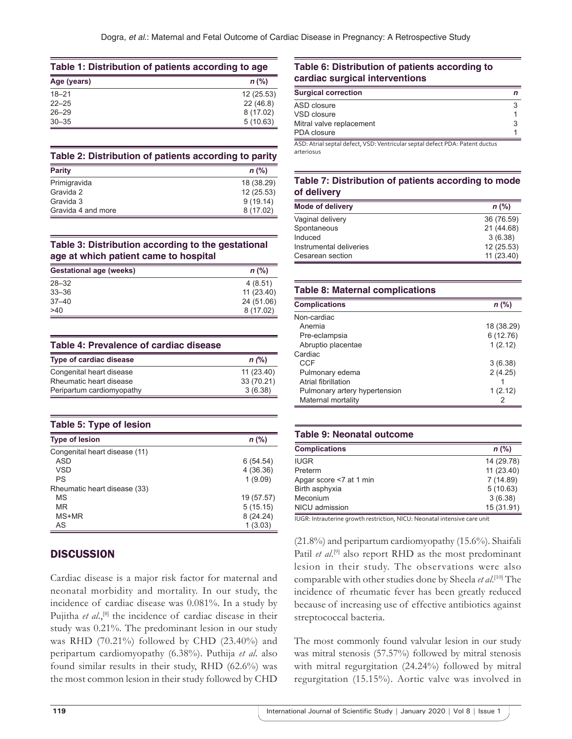| Table 1: Distribution of patients according to age |           |
|----------------------------------------------------|-----------|
| Age (years)<br>$n$ (%)                             |           |
| $18 - 21$                                          | 12(25.53) |
| $22 - 25$                                          | 22(46.8)  |
| $26 - 29$                                          | 8(17.02)  |
| $30 - 35$                                          | 5(10.63)  |

#### **Table 2: Distribution of patients according to parity**

| <b>Parity</b>      | $n$ (%)    |
|--------------------|------------|
| Primigravida       | 18 (38.29) |
| Gravida 2          | 12 (25.53) |
| Gravida 3          | 9(19.14)   |
| Gravida 4 and more | 8(17.02)   |

# **Table 3: Distribution according to the gestational age at which patient came to hospital**

| <b>Gestational age (weeks)</b> | $n$ (%)    |
|--------------------------------|------------|
| $28 - 32$                      | 4(8.51)    |
| $33 - 36$                      | 11 (23.40) |
| $37 - 40$                      | 24 (51.06) |
| >40                            | 8(17.02)   |

#### **Table 4: Prevalence of cardiac disease**

| <b>Type of cardiac disease</b> | $n$ $\frac{\gamma}{\alpha}$ |
|--------------------------------|-----------------------------|
| Congenital heart disease       | 11 (23.40)                  |
| Rheumatic heart disease        | 33 (70.21)                  |
| Peripartum cardiomyopathy      | 3(6.38)                     |

| Table 5: Type of lesion       |            |
|-------------------------------|------------|
| <b>Type of lesion</b>         | $n$ (%)    |
| Congenital heart disease (11) |            |
| ASD                           | 6(54.54)   |
| <b>VSD</b>                    | 4 (36.36)  |
| <b>PS</b>                     | 1(9.09)    |
| Rheumatic heart disease (33)  |            |
| MS                            | 19 (57.57) |
| MR                            | 5(15.15)   |
| MS+MR                         | 8(24.24)   |
| AS                            | 1(3.03)    |

# **DISCUSSION**

Cardiac disease is a major risk factor for maternal and neonatal morbidity and mortality. In our study, the incidence of cardiac disease was 0.081%. In a study by Pujitha *et al.*,<sup>[8]</sup> the incidence of cardiac disease in their study was 0.21%. The predominant lesion in our study was RHD (70.21%) followed by CHD (23.40%) and peripartum cardiomyopathy (6.38%). Puthija *et al*. also found similar results in their study, RHD (62.6%) was the most common lesion in their study followed by CHD

#### **Table 6: Distribution of patients according to cardiac surgical interventions**

| <b>Surgical correction</b> | n |
|----------------------------|---|
| ASD closure                | 3 |
| VSD closure                |   |
| Mitral valve replacement   | 3 |
| PDA closure                |   |

ASD: Atrial septal defect, VSD: Ventricular septal defect PDA: Patent ductus arteriosus

#### **Table 7: Distribution of patients according to mode of delivery**

| <b>Mode of delivery</b> | $n$ (%)    |
|-------------------------|------------|
| Vaginal delivery        | 36 (76.59) |
| Spontaneous             | 21 (44.68) |
| Induced                 | 3(6.38)    |
| Instrumental deliveries | 12(25.53)  |
| Cesarean section        | 11 (23.40) |

## **Table 8: Maternal complications**

| <b>Complications</b>          | $n$ (%)    |
|-------------------------------|------------|
| Non-cardiac                   |            |
| Anemia                        | 18 (38.29) |
| Pre-eclampsia                 | 6(12.76)   |
| Abruptio placentae            | 1(2.12)    |
| Cardiac                       |            |
| CCF                           | 3(6.38)    |
| Pulmonary edema               | 2(4.25)    |
| Atrial fibrillation           |            |
| Pulmonary artery hypertension | 1(2.12)    |
| Maternal mortality            |            |

#### **Table 9: Neonatal outcome**

| <b>Complications</b>    | $n$ (%)    |
|-------------------------|------------|
| <b>IUGR</b>             | 14 (29.78) |
| Preterm                 | 11 (23.40) |
| Apgar score <7 at 1 min | 7(14.89)   |
| Birth asphyxia          | 5(10.63)   |
| Meconium                | 3(6.38)    |
| NICU admission          | 15 (31.91) |

IUGR: Intrauterine growth restriction, NICU: Neonatal intensive care unit

 $(21.8\%)$  and peripartum cardiomyopathy  $(15.6\%)$ . Shaifali Patil *et al.*<sup>[9]</sup> also report RHD as the most predominant lesion in their study. The observations were also comparable with other studies done by Sheela *et al*. [10] The incidence of rheumatic fever has been greatly reduced because of increasing use of effective antibiotics against streptococcal bacteria.

The most commonly found valvular lesion in our study was mitral stenosis (57.57%) followed by mitral stenosis with mitral regurgitation (24.24%) followed by mitral regurgitation (15.15%). Aortic valve was involved in